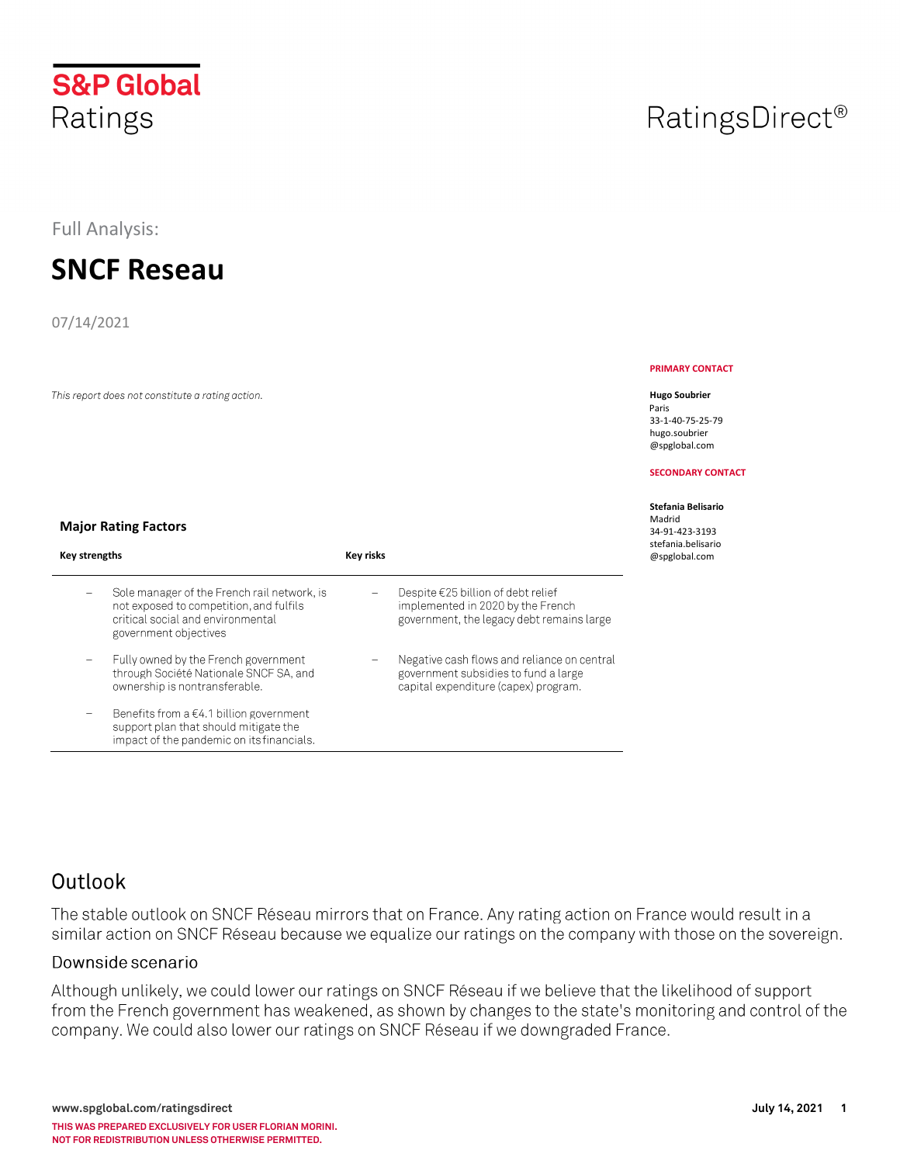# **S&P Global** Ratings

Full Analysis:

# **SNCF Reseau**

07/14/2021

This report does not constitute a rating action.

# RatingsDirect<sup>®</sup>

#### **PRIMARY CONTACT**

#### **Hugo Soubrier**

Paris 33-1-40-75-25-79 hugo.soubrier @spglobal.com

#### **SECONDARY CONTACT**

#### **Stefania Belisario**  Madrid 34-91-423-3193 stefania.belisario @spglobal.com

### **Major Rating Factors**

| Key strengths |                                                                                                                                                      | <b>Key risks</b> |                                                                                                                                |
|---------------|------------------------------------------------------------------------------------------------------------------------------------------------------|------------------|--------------------------------------------------------------------------------------------------------------------------------|
|               | Sole manager of the French rail network, is<br>not exposed to competition, and fulfils<br>critical social and environmental<br>government objectives |                  | Despite $\epsilon$ 25 billion of debt relief<br>implemented in 2020 by the French<br>government, the legacy debt remains large |
|               | Fully owned by the French government<br>through Société Nationale SNCF SA, and<br>ownership is nontransferable.                                      |                  | Negative cash flows and reliance on central<br>government subsidies to fund a large<br>capital expenditure (capex) program.    |
|               | Benefits from a $\epsilon$ 4.1 billion government<br>support plan that should mitigate the<br>impact of the pandemic on its financials.              |                  |                                                                                                                                |

## Outlook

The stable outlook on SNCF Réseau mirrors that on France. Any rating action on France would result in a similar action on SNCF Réseau because we equalize our ratings on the company with those on the sovereign.

### Downside scenario

Although unlikely, we could lower our ratings on SNCF Réseau if we believe that the likelihood of support from the French government has weakened, as shown by changes to the state's monitoring and control of the company. We could also lower our ratings on SNCF Réseau if we downgraded France.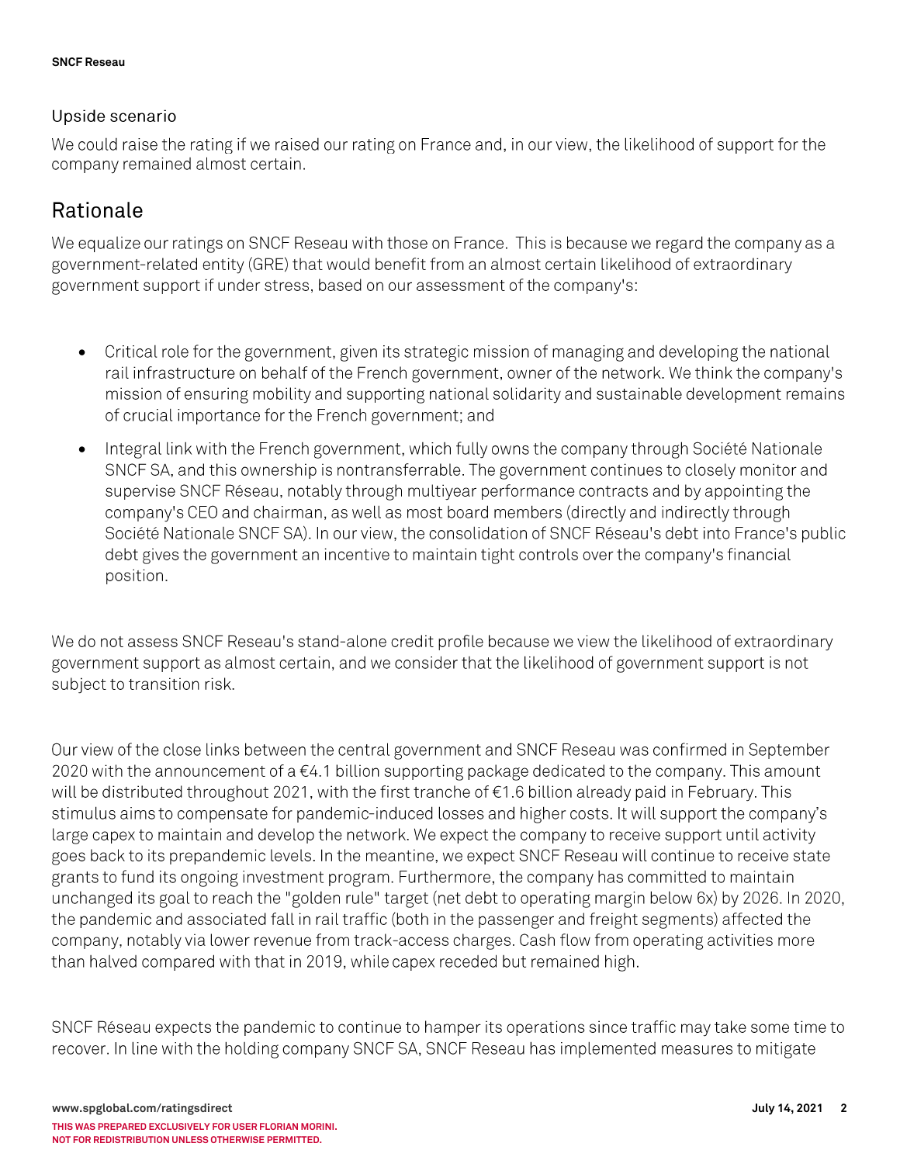### Upside scenario

We could raise the rating if we raised our rating on France and, in our view, the likelihood of support for the company remained almost certain.

## Rationale

We equalize our ratings on SNCF Reseau with those on France. This is because we regard the company as a government-related entity (GRE) that would benefit from an almost certain likelihood of extraordinary government support if under stress, based on our assessment of the company's:

- Critical role for the government, given its strategic mission of managing and developing the national  $\bullet$ rail infrastructure on behalf of the French government, owner of the network. We think the company's mission of ensuring mobility and supporting national solidarity and sustainable development remains of crucial importance for the French government; and
- Integral link with the French government, which fully owns the company through Société Nationale  $\bullet$ SNCF SA, and this ownership is nontransferrable. The government continues to closely monitor and supervise SNCF Réseau, notably through multiyear performance contracts and by appointing the company's CEO and chairman, as well as most board members (directly and indirectly through Société Nationale SNCF SA). In our view, the consolidation of SNCF Réseau's debt into France's public debt gives the government an incentive to maintain tight controls over the company's financial position.

We do not assess SNCF Reseau's stand-alone credit profile because we view the likelihood of extraordinary government support as almost certain, and we consider that the likelihood of government support is not subject to transition risk.

Our view of the close links between the central government and SNCF Reseau was confirmed in September 2020 with the announcement of a €4.1 billion supporting package dedicated to the company. This amount will be distributed throughout 2021, with the first tranche of €1.6 billion already paid in February. This stimulus aims to compensate for pandemic-induced losses and higher costs. It will support the company's large capex to maintain and develop the network. We expect the company to receive support until activity goes back to its prepandemic levels. In the meantine, we expect SNCF Reseau will continue to receive state grants to fund its ongoing investment program. Furthermore, the company has committed to maintain unchanged its goal to reach the "golden rule" target (net debt to operating margin below 6x) by 2026. In 2020, the pandemic and associated fall in rail traffic (both in the passenger and freight segments) affected the company, notably via lower revenue from track-access charges. Cash flow from operating activities more than halved compared with that in 2019, while capex receded but remained high.

SNCF Réseau expects the pandemic to continue to hamper its operations since traffic may take some time to recover. In line with the holding company SNCF SA, SNCF Reseau has implemented measures to mitigate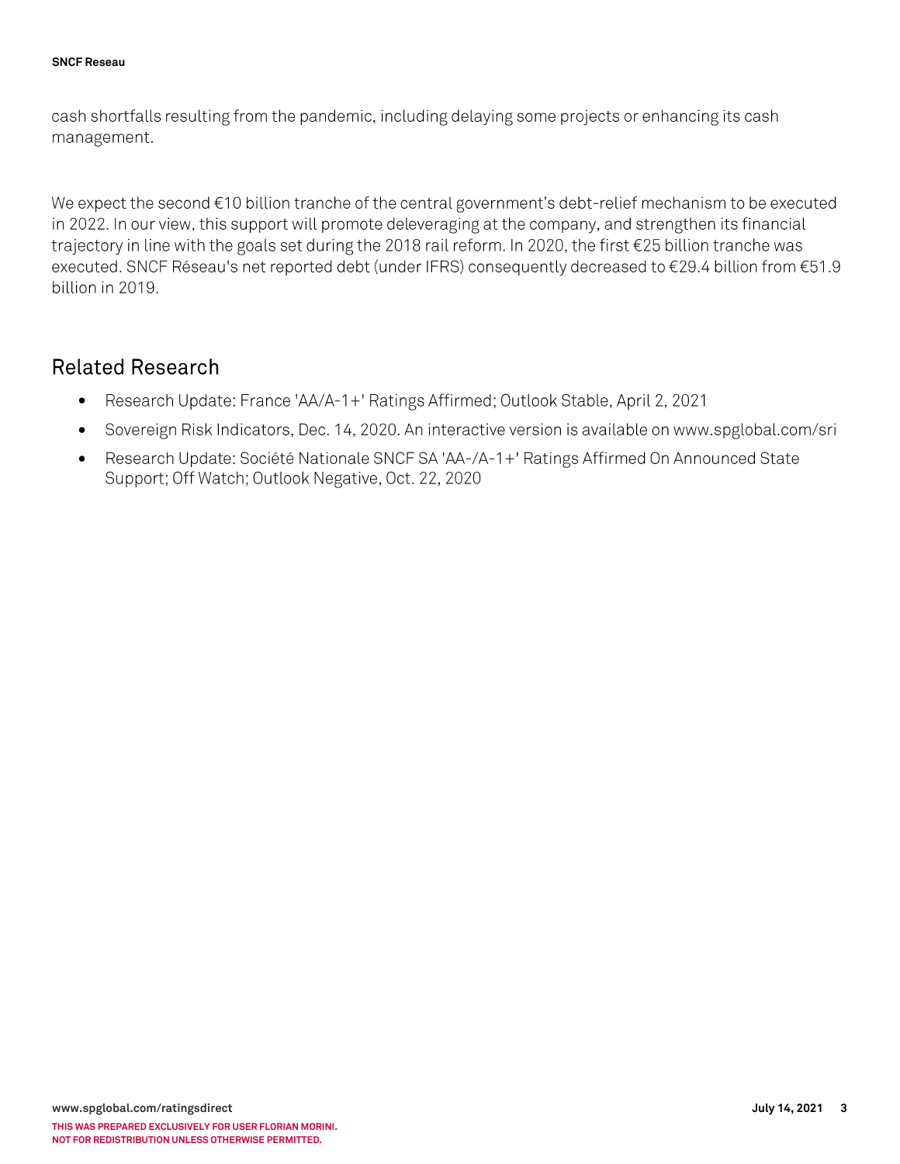cash shortfalls resulting from the pandemic, including delaying some projects or enhancing its cash management.

We expect the second €10 billion tranche of the central government's debt-relief mechanism to be executed in 2022. In our view, this support will promote deleveraging at the company, and strengthen its financial trajectory in line with the goals set during the 2018 rail reform. In 2020, the first €25 billion tranche was executed. SNCF Réseau's net reported debt (under IFRS) consequently decreased to €29.4 billion from €51.9 billion in 2019.

## **Related Research**

- Research Update: France 'AA/A-1+' Ratings Affirmed; Outlook Stable, April 2, 2021  $\bullet$
- Sovereign Risk Indicators, Dec. 14, 2020. An interactive version is available on www.spglobal.com/sri  $\bullet$
- Research Update: Société Nationale SNCF SA 'AA-/A-1+' Ratings Affirmed On Announced State  $\bullet$ Support; Off Watch; Outlook Negative, Oct. 22, 2020